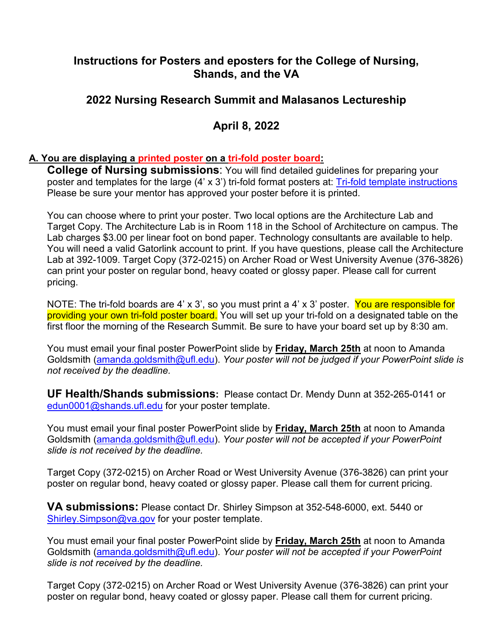# **Instructions for Posters and eposters for the College of Nursing, Shands, and the VA**

# **2022 Nursing Research Summit and Malasanos Lectureship**

# **April 8, 2022**

#### **A. You are displaying a printed poster on a tri-fold poster board:**

**College of Nursing submissions**: You will find detailed guidelines for preparing your poster and templates for the large (4' x 3') tri-fold format posters at: [Tri-fold template instructions](file://ad.ufl.edu/Health/NUR/share/ORS/Research%20Summit/RESEARCH%20SUMMIT%202018%20to%202021/NURSING%20RESEARCH%20SUMMIT%202019/Posters/Trifold%20Poster%20Template.ppt) Please be sure your mentor has approved your poster before it is printed.

You can choose where to print your poster. Two local options are the Architecture Lab and Target Copy. The Architecture Lab is in Room 118 in the School of Architecture on campus. The Lab charges \$3.00 per linear foot on bond paper. Technology consultants are available to help. You will need a valid Gatorlink account to print. If you have questions, please call the Architecture Lab at 392-1009. Target Copy (372-0215) on Archer Road or West University Avenue (376-3826) can print your poster on regular bond, heavy coated or glossy paper. Please call for current pricing.

NOTE: The tri-fold boards are 4' x 3', so you must print a 4' x 3' poster. You are responsible for providing your own tri-fold poster board. You will set up your tri-fold on a designated table on the first floor the morning of the Research Summit. Be sure to have your board set up by 8:30 am.

You must email your final poster PowerPoint slide by **Friday, March 25th** at noon to Amanda Goldsmith [\(amanda.goldsmith@ufl.edu\)](mailto:amanda.goldsmith@ufl.edu). *Your poster will not be judged if your PowerPoint slide is not received by the deadline.* 

**UF Health/Shands submissions:** Please contact Dr. Mendy Dunn at 352-265-0141 or [edun0001@shands.ufl.edu](mailto:edun0001@shands.ufl.edu) for your poster template.

You must email your final poster PowerPoint slide by **Friday, March 25th** at noon to Amanda Goldsmith [\(amanda.goldsmith@ufl.edu\)](mailto:lrinfret@ufl.edu). *Your poster will not be accepted if your PowerPoint slide is not received by the deadline.* 

Target Copy (372-0215) on Archer Road or West University Avenue (376-3826) can print your poster on regular bond, heavy coated or glossy paper. Please call them for current pricing.

**VA submissions:** Please contact Dr. Shirley Simpson at 352-548-6000, ext. 5440 or Shirley.Simpson@va.gov for your poster template.

You must email your final poster PowerPoint slide by **Friday, March 25th** at noon to Amanda Goldsmith [\(amanda.goldsmith@ufl.edu\)](mailto:lrinfret@ufl.edu). *Your poster will not be accepted if your PowerPoint slide is not received by the deadline.* 

Target Copy (372-0215) on Archer Road or West University Avenue (376-3826) can print your poster on regular bond, heavy coated or glossy paper. Please call them for current pricing.